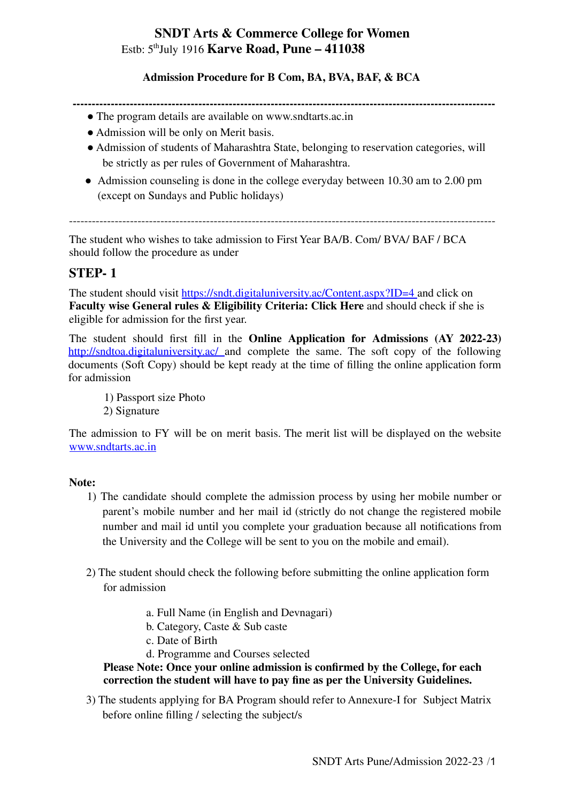# **SNDT Arts & Commerce College for Women** Estb: 5 th July 1916 **Karve Road, Pune – 411038**

#### **Admission Procedure for B Com, BA, BVA, BAF, & BCA**

**---------------------------------------------------------------------------------------------------------------**

- The program details are available on www.sndtarts.ac.in
- Admission will be only on Merit basis.
- Admission of students of Maharashtra State, belonging to reservation categories, will be strictly as per rules of Government of Maharashtra.
- Admission counseling is done in the college everyday between 10.30 am to 2.00 pm (except on Sundays and Public holidays)

----------------------------------------------------------------------------------------------------------------

The student who wishes to take admission to First Year BA/B. Com/ BVA/ BAF / BCA should follow the procedure as under

## **STEP- 1**

The student should visit https://sndt.digitaluniversity.ac/Content.aspx?ID=4 and click on **Faculty wise General rules & Eligibility Criteria: Click Here** and should check if she is eligible for admission for the first year.

The student should first fill in the **Online Application for Admissions (AY 2022-23)** http://sndtoa.digitaluniversity.ac/ and complete the same. The soft copy of the following documents (Soft Copy) should be kept ready at the time of filling the online application form for admission

1) Passport size Photo 2) Signature

The admission to FY will be on merit basis. The merit list will be displayed on the website www.sndtarts.ac.in

#### **Note:**

- 1) The candidate should complete the admission process by using her mobile number or parent's mobile number and her mail id (strictly do not change the registered mobile number and mail id until you complete your graduation because all notifications from the University and the College will be sent to you on the mobile and email).
- 2) The student should check the following before submitting the online application form for admission
	- a. Full Name (in English and Devnagari)
	- b. Category, Caste & Sub caste
	- c. Date of Birth
	- d. Programme and Courses selected

## **Please Note: Once your online admission is confirmed by the College, for each correction the student will have to pay fine as per the University Guidelines.**

3) The students applying for BA Program should refer to Annexure-I for Subject Matrix before online filling / selecting the subject/s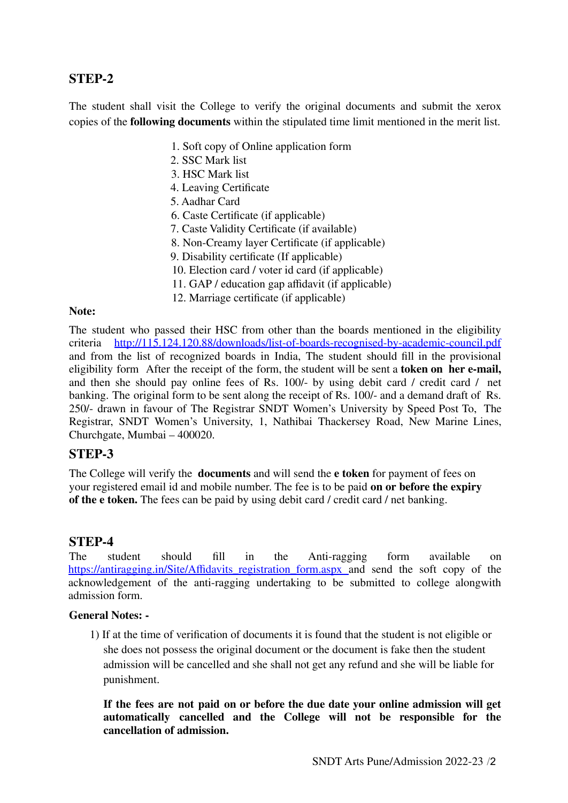# **STEP-2**

The student shall visit the College to verify the original documents and submit the xerox copies of the **following documents** within the stipulated time limit mentioned in the merit list.

- 1. Soft copy of Online application form
- 2. SSC Mark list
- 3. HSC Mark list
- 4. Leaving Certificate
- 5. Aadhar Card
- 6. Caste Certificate (if applicable)
- 7. Caste Validity Certificate (if available)
- 8. Non-Creamy layer Certificate (if applicable)
- 9. Disability certificate (If applicable)
- 10. Election card / voter id card (if applicable)
- 11. GAP / education gap affidavit (if applicable)
- 12. Marriage certificate (if applicable)

#### **Note:**

The student who passed their HSC from other than the boards mentioned in the eligibility criteria http://115.124.120.88/downloads/list-of-boards-recognised-by-academic-council.pdf and from the list of recognized boards in India, The student should fill in the provisional eligibility form After the receipt of the form, the student will be sent a **token on her e-mail,** and then she should pay online fees of Rs. 100/- by using debit card / credit card / net banking. The original form to be sent along the receipt of Rs. 100/- and a demand draft of Rs. 250/- drawn in favour of The Registrar SNDT Women's University by Speed Post To, The Registrar, SNDT Women's University, 1, Nathibai Thackersey Road, New Marine Lines, Churchgate, Mumbai – 400020.

#### **STEP-3**

The College will verify the **documents** and will send the **e token** for payment of fees on your registered email id and mobile number. The fee is to be paid **on or before the expiry of the e token.** The fees can be paid by using debit card / credit card / net banking.

#### **STEP-4**

The student should fill in the Anti-ragging form available on https://antiragging.in/Site/Affidavits registration form.aspx and send the soft copy of the acknowledgement of the anti-ragging undertaking to be submitted to college alongwith admission form.

#### **General Notes: -**

1) If at the time of verification of documents it is found that the student is not eligible or she does not possess the original document or the document is fake then the student admission will be cancelled and she shall not get any refund and she will be liable for punishment.

**If the fees are not paid on or before the due date your online admission will get automatically cancelled and the College will not be responsible for the cancellation of admission.**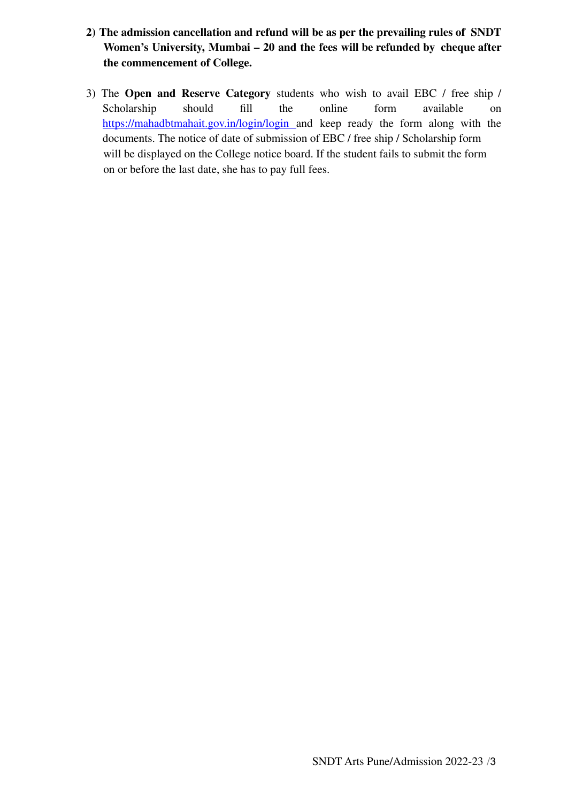- **2) The admission cancellation and refund will be as per the prevailing rules of SNDT Women's University, Mumbai – 20 and the fees will be refunded by cheque after the commencement of College.**
- 3) The **Open and Reserve Category** students who wish to avail EBC / free ship / Scholarship should fill the online form available on https://mahadbtmahait.gov.in/login/login and keep ready the form along with the documents. The notice of date of submission of EBC / free ship / Scholarship form will be displayed on the College notice board. If the student fails to submit the form on or before the last date, she has to pay full fees.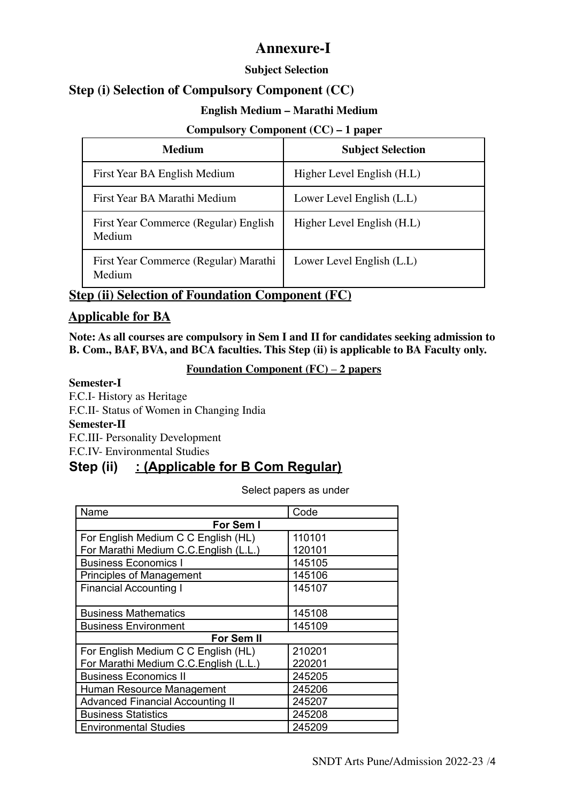# **Annexure-I**

## **Subject Selection**

# **Step (i) Selection of Compulsory Component (CC)**

## **English Medium – Marathi Medium**

## **Compulsory Component (CC) – 1 paper**

| <b>Medium</b>                                   | <b>Subject Selection</b>   |
|-------------------------------------------------|----------------------------|
| First Year BA English Medium                    | Higher Level English (H.L) |
| First Year BA Marathi Medium                    | Lower Level English (L.L)  |
| First Year Commerce (Regular) English<br>Medium | Higher Level English (H.L) |
| First Year Commerce (Regular) Marathi<br>Medium | Lower Level English (L.L)  |

# **Step (ii) Selection of Foundation Component (FC)**

# **Applicable for BA**

**Note: As all courses are compulsory in Sem I and II for candidates seeking admission to B. Com., BAF, BVA, and BCA faculties. This Step (ii) is applicable to BA Faculty only.**

#### **Foundation Component (FC)** – **2 papers**

**Semester-I** F.C.I- History as Heritage F.C.II- Status of Women in Changing India **Semester-II** F.C.III- Personality Development F.C.IV- Environmental Studies

# **Step (ii) : (Applicable for B Com Regular)**

Select papers as under

| Name                                    | Code   |  |
|-----------------------------------------|--------|--|
| For Sem I                               |        |  |
| For English Medium C C English (HL)     | 110101 |  |
| For Marathi Medium C.C. English (L.L.)  | 120101 |  |
| <b>Business Economics I</b>             | 145105 |  |
| <b>Principles of Management</b>         | 145106 |  |
| <b>Financial Accounting I</b>           | 145107 |  |
|                                         |        |  |
| <b>Business Mathematics</b>             | 145108 |  |
| <b>Business Environment</b>             | 145109 |  |
| For Sem II                              |        |  |
| For English Medium C C English (HL)     | 210201 |  |
| For Marathi Medium C.C. English (L.L.)  | 220201 |  |
| <b>Business Economics II</b>            | 245205 |  |
| Human Resource Management               | 245206 |  |
| <b>Advanced Financial Accounting II</b> | 245207 |  |
| <b>Business Statistics</b>              | 245208 |  |
| <b>Environmental Studies</b>            | 245209 |  |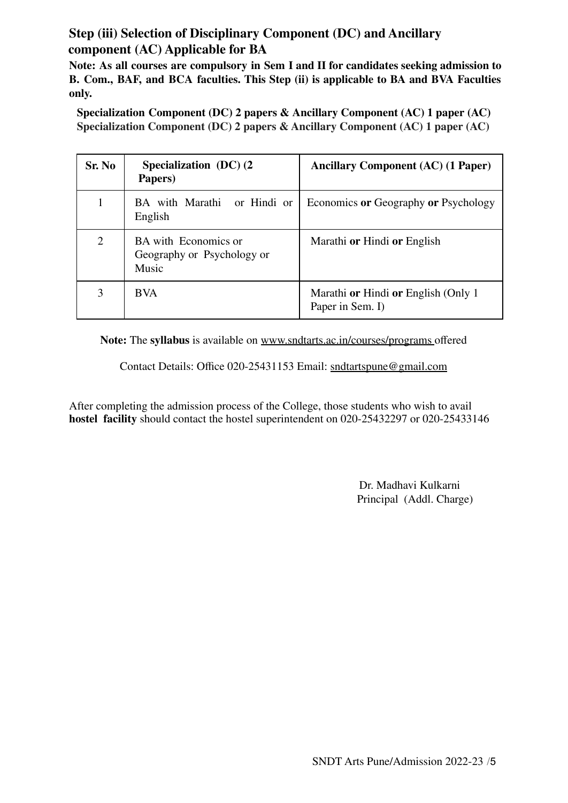# **Step (iii) Selection of Disciplinary Component (DC) and Ancillary component (AC) Applicable for BA**

**Note: As all courses are compulsory in Sem I and II for candidates seeking admission to B. Com., BAF, and BCA faculties. This Step (ii) is applicable to BA and BVA Faculties only.**

**Specialization Component (DC) 2 papers & Ancillary Component (AC) 1 paper (AC) Specialization Component (DC) 2 papers & Ancillary Component (AC) 1 paper (AC)**

| Sr. No         | Specialization (DC) (2)<br>Papers)                          | <b>Ancillary Component (AC) (1 Paper)</b>                              |
|----------------|-------------------------------------------------------------|------------------------------------------------------------------------|
|                | BA with Marathi or Hindi or<br>English                      | Economics or Geography or Psychology                                   |
| $\overline{2}$ | BA with Economics or<br>Geography or Psychology or<br>Music | Marathi <b>or</b> Hindi <b>or</b> English                              |
| 3              | <b>BVA</b>                                                  | Marathi <b>or</b> Hindi <b>or</b> English (Only 1)<br>Paper in Sem. I) |

**Note:** The **syllabus** is available on www.sndtarts.ac.in/courses/programs offered

Contact Details: Office 020-25431153 Email: sndtartspune@gmail.com

After completing the admission process of the College, those students who wish to avail **hostel facility** should contact the hostel superintendent on 020-25432297 or 020-25433146

> Dr. Madhavi Kulkarni Principal (Addl. Charge)